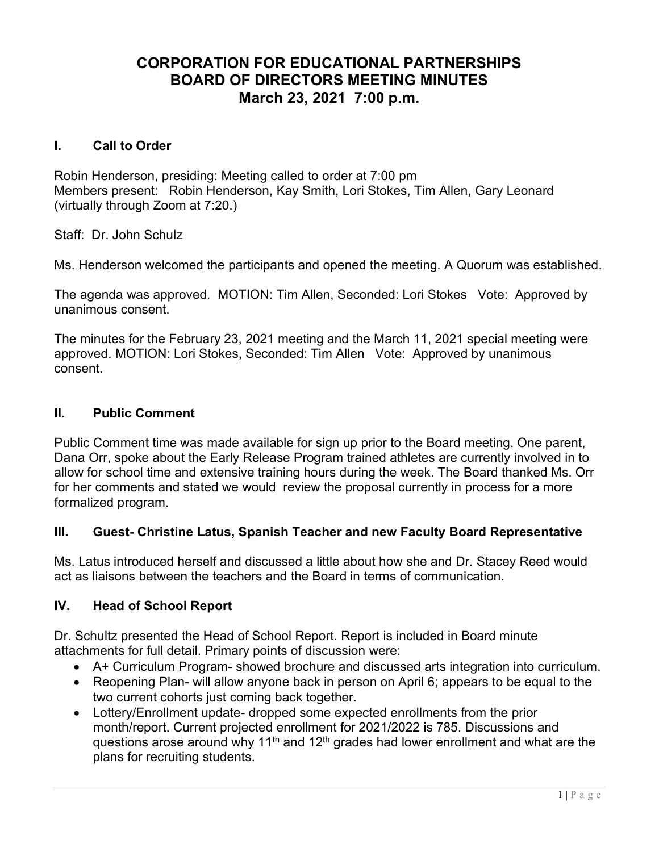# CORPORATION FOR EDUCATIONAL PARTNERSHIPS BOARD OF DIRECTORS MEETING MINUTES March 23, 2021 7:00 p.m.

### I. Call to Order

Robin Henderson, presiding: Meeting called to order at 7:00 pm Members present: Robin Henderson, Kay Smith, Lori Stokes, Tim Allen, Gary Leonard (virtually through Zoom at 7:20.)

Staff: Dr. John Schulz

Ms. Henderson welcomed the participants and opened the meeting. A Quorum was established.

The agenda was approved. MOTION: Tim Allen, Seconded: Lori Stokes Vote: Approved by unanimous consent.

The minutes for the February 23, 2021 meeting and the March 11, 2021 special meeting were approved. MOTION: Lori Stokes, Seconded: Tim Allen Vote: Approved by unanimous consent.

### II. Public Comment

Public Comment time was made available for sign up prior to the Board meeting. One parent, Dana Orr, spoke about the Early Release Program trained athletes are currently involved in to allow for school time and extensive training hours during the week. The Board thanked Ms. Orr for her comments and stated we would review the proposal currently in process for a more formalized program.

## III. Guest- Christine Latus, Spanish Teacher and new Faculty Board Representative

Ms. Latus introduced herself and discussed a little about how she and Dr. Stacey Reed would act as liaisons between the teachers and the Board in terms of communication.

### IV. Head of School Report

Dr. Schultz presented the Head of School Report. Report is included in Board minute attachments for full detail. Primary points of discussion were:

- A+ Curriculum Program- showed brochure and discussed arts integration into curriculum.
- Reopening Plan- will allow anyone back in person on April 6; appears to be equal to the two current cohorts just coming back together.
- Lottery/Enrollment update- dropped some expected enrollments from the prior month/report. Current projected enrollment for 2021/2022 is 785. Discussions and questions arose around why 11<sup>th</sup> and 12<sup>th</sup> grades had lower enrollment and what are the plans for recruiting students.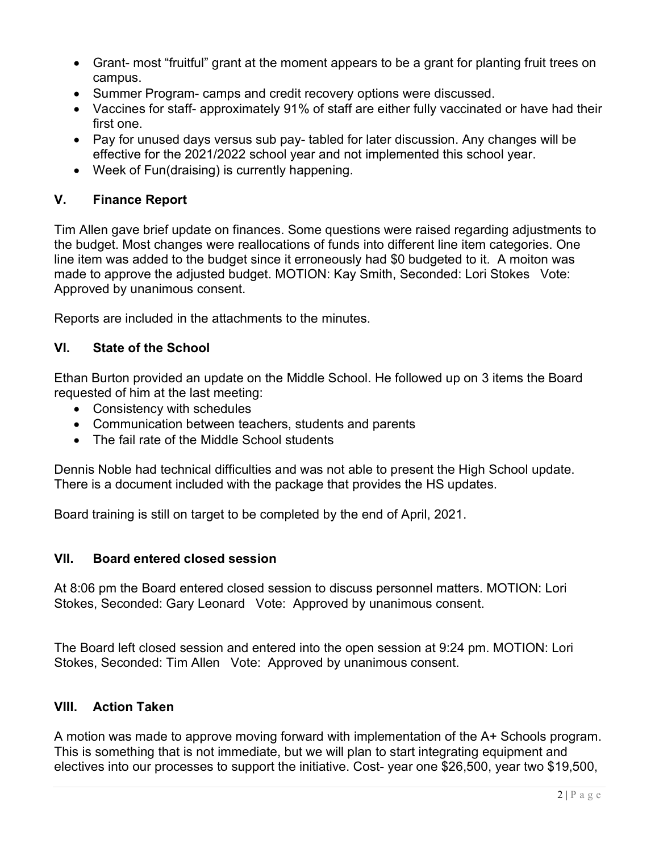- Grant- most "fruitful" grant at the moment appears to be a grant for planting fruit trees on campus.
- Summer Program- camps and credit recovery options were discussed.
- Vaccines for staff- approximately 91% of staff are either fully vaccinated or have had their first one.
- Pay for unused days versus sub pay-tabled for later discussion. Any changes will be effective for the 2021/2022 school year and not implemented this school year.
- Week of Fun(draising) is currently happening.

## V. Finance Report

Tim Allen gave brief update on finances. Some questions were raised regarding adjustments to the budget. Most changes were reallocations of funds into different line item categories. One line item was added to the budget since it erroneously had \$0 budgeted to it. A moiton was made to approve the adjusted budget. MOTION: Kay Smith, Seconded: Lori Stokes Vote: Approved by unanimous consent.

Reports are included in the attachments to the minutes.

## VI. State of the School

Ethan Burton provided an update on the Middle School. He followed up on 3 items the Board requested of him at the last meeting:

- Consistency with schedules
- Communication between teachers, students and parents
- The fail rate of the Middle School students

Dennis Noble had technical difficulties and was not able to present the High School update. There is a document included with the package that provides the HS updates.

Board training is still on target to be completed by the end of April, 2021.

## VII. Board entered closed session

At 8:06 pm the Board entered closed session to discuss personnel matters. MOTION: Lori Stokes, Seconded: Gary Leonard Vote: Approved by unanimous consent.

The Board left closed session and entered into the open session at 9:24 pm. MOTION: Lori Stokes, Seconded: Tim Allen Vote: Approved by unanimous consent.

## VIII. Action Taken

A motion was made to approve moving forward with implementation of the A+ Schools program. This is something that is not immediate, but we will plan to start integrating equipment and electives into our processes to support the initiative. Cost- year one \$26,500, year two \$19,500,